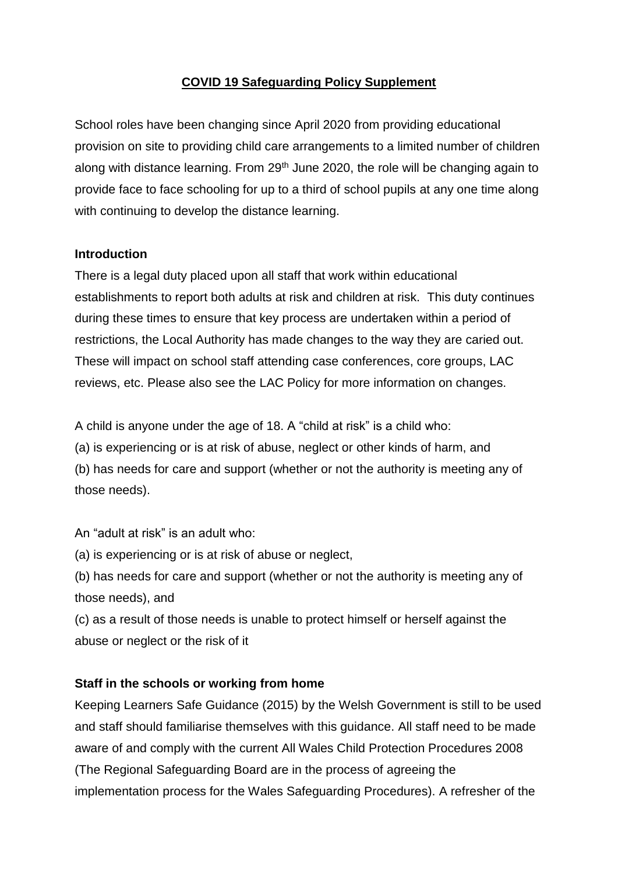## **COVID 19 Safeguarding Policy Supplement**

School roles have been changing since April 2020 from providing educational provision on site to providing child care arrangements to a limited number of children along with distance learning. From  $29<sup>th</sup>$  June 2020, the role will be changing again to provide face to face schooling for up to a third of school pupils at any one time along with continuing to develop the distance learning.

#### **Introduction**

There is a legal duty placed upon all staff that work within educational establishments to report both adults at risk and children at risk. This duty continues during these times to ensure that key process are undertaken within a period of restrictions, the Local Authority has made changes to the way they are caried out. These will impact on school staff attending case conferences, core groups, LAC reviews, etc. Please also see the LAC Policy for more information on changes.

A child is anyone under the age of 18. A "child at risk" is a child who:

(a) is experiencing or is at risk of abuse, neglect or other kinds of harm, and

(b) has needs for care and support (whether or not the authority is meeting any of those needs).

An "adult at risk" is an adult who:

(a) is experiencing or is at risk of abuse or neglect,

(b) has needs for care and support (whether or not the authority is meeting any of those needs), and

(c) as a result of those needs is unable to protect himself or herself against the abuse or neglect or the risk of it

# **Staff in the schools or working from home**

Keeping Learners Safe Guidance (2015) by the Welsh Government is still to be used and staff should familiarise themselves with this guidance. All staff need to be made aware of and comply with the current All Wales Child Protection Procedures 2008 (The Regional Safeguarding Board are in the process of agreeing the implementation process for the Wales Safeguarding Procedures). A refresher of the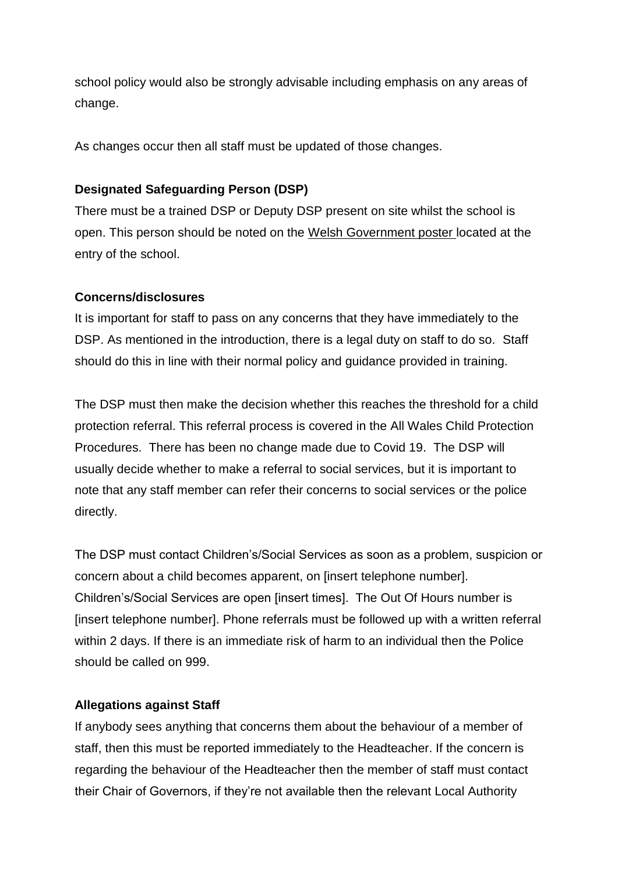school policy would also be strongly advisable including emphasis on any areas of change.

As changes occur then all staff must be updated of those changes.

# **Designated Safeguarding Person (DSP)**

There must be a trained DSP or Deputy DSP present on site whilst the school is open. This person should be noted on the [Welsh Government poster](https://gov.wales/education-safeguarding-guidance-coronavirus) located at the entry of the school.

## **Concerns/disclosures**

It is important for staff to pass on any concerns that they have immediately to the DSP. As mentioned in the introduction, there is a legal duty on staff to do so. Staff should do this in line with their normal policy and guidance provided in training.

The DSP must then make the decision whether this reaches the threshold for a child protection referral. This referral process is covered in the All Wales Child Protection Procedures. There has been no change made due to Covid 19. The DSP will usually decide whether to make a referral to social services, but it is important to note that any staff member can refer their concerns to social services or the police directly.

The DSP must contact Children's/Social Services as soon as a problem, suspicion or concern about a child becomes apparent, on [insert telephone number]. Children's/Social Services are open [insert times]. The Out Of Hours number is [insert telephone number]. Phone referrals must be followed up with a written referral within 2 days. If there is an immediate risk of harm to an individual then the Police should be called on 999.

# **Allegations against Staff**

If anybody sees anything that concerns them about the behaviour of a member of staff, then this must be reported immediately to the Headteacher. If the concern is regarding the behaviour of the Headteacher then the member of staff must contact their Chair of Governors, if they're not available then the relevant Local Authority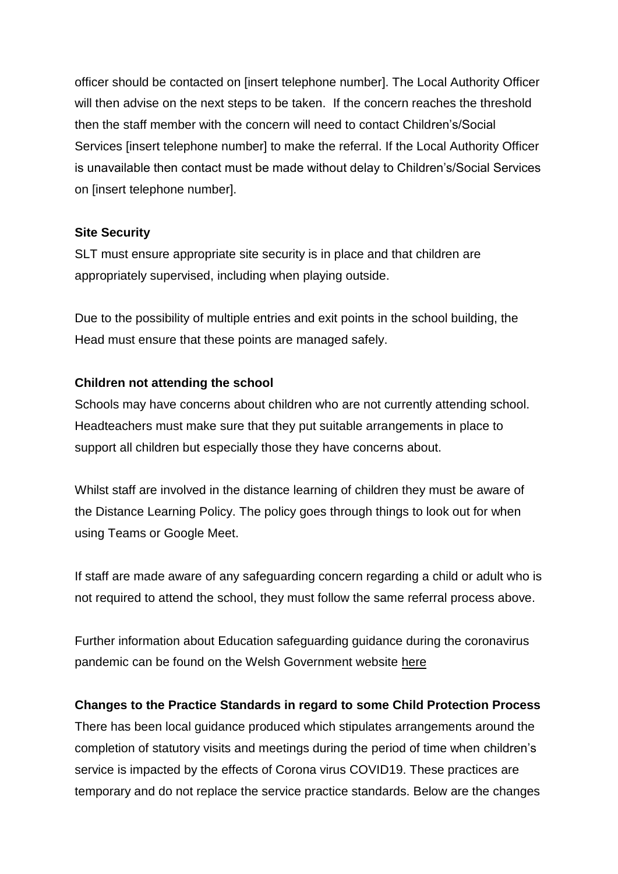officer should be contacted on [insert telephone number]. The Local Authority Officer will then advise on the next steps to be taken. If the concern reaches the threshold then the staff member with the concern will need to contact Children's/Social Services [insert telephone number] to make the referral. If the Local Authority Officer is unavailable then contact must be made without delay to Children's/Social Services on [insert telephone number].

#### **Site Security**

SLT must ensure appropriate site security is in place and that children are appropriately supervised, including when playing outside.

Due to the possibility of multiple entries and exit points in the school building, the Head must ensure that these points are managed safely.

#### **Children not attending the school**

Schools may have concerns about children who are not currently attending school. Headteachers must make sure that they put suitable arrangements in place to support all children but especially those they have concerns about.

Whilst staff are involved in the distance learning of children they must be aware of the Distance Learning Policy. The policy goes through things to look out for when using Teams or Google Meet.

If staff are made aware of any safeguarding concern regarding a child or adult who is not required to attend the school, they must follow the same referral process above.

Further information about Education safeguarding guidance during the coronavirus pandemic can be found on the Welsh Government website [here](https://gov.wales/education-safeguarding-guidance-coronavirus)

## **Changes to the Practice Standards in regard to some Child Protection Process**

There has been local guidance produced which stipulates arrangements around the completion of statutory visits and meetings during the period of time when children's service is impacted by the effects of Corona virus COVID19. These practices are temporary and do not replace the service practice standards. Below are the changes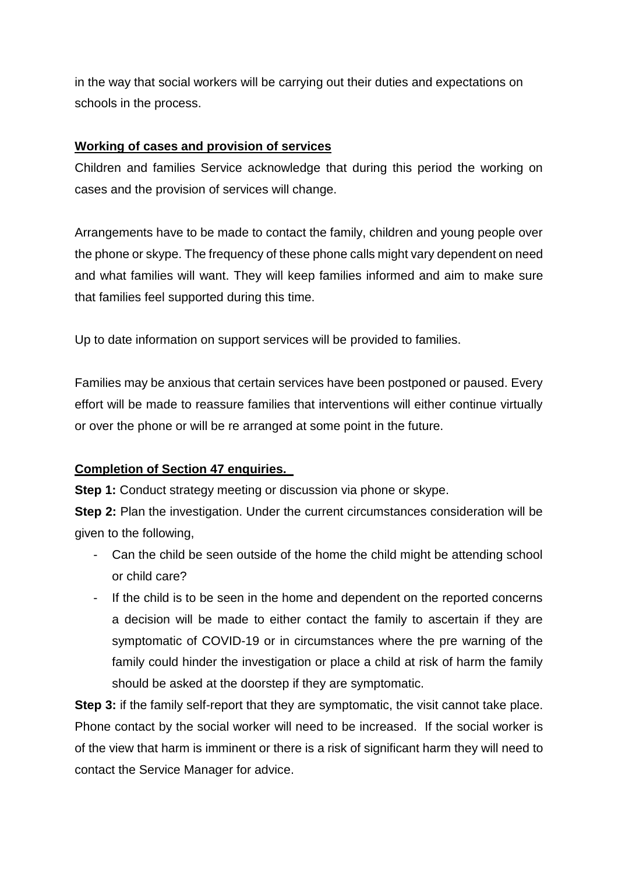in the way that social workers will be carrying out their duties and expectations on schools in the process.

## **Working of cases and provision of services**

Children and families Service acknowledge that during this period the working on cases and the provision of services will change.

Arrangements have to be made to contact the family, children and young people over the phone or skype. The frequency of these phone calls might vary dependent on need and what families will want. They will keep families informed and aim to make sure that families feel supported during this time.

Up to date information on support services will be provided to families.

Families may be anxious that certain services have been postponed or paused. Every effort will be made to reassure families that interventions will either continue virtually or over the phone or will be re arranged at some point in the future.

# **Completion of Section 47 enquiries.**

**Step 1:** Conduct strategy meeting or discussion via phone or skype.

**Step 2:** Plan the investigation. Under the current circumstances consideration will be given to the following,

- Can the child be seen outside of the home the child might be attending school or child care?
- If the child is to be seen in the home and dependent on the reported concerns a decision will be made to either contact the family to ascertain if they are symptomatic of COVID-19 or in circumstances where the pre warning of the family could hinder the investigation or place a child at risk of harm the family should be asked at the doorstep if they are symptomatic.

**Step 3:** if the family self-report that they are symptomatic, the visit cannot take place. Phone contact by the social worker will need to be increased. If the social worker is of the view that harm is imminent or there is a risk of significant harm they will need to contact the Service Manager for advice.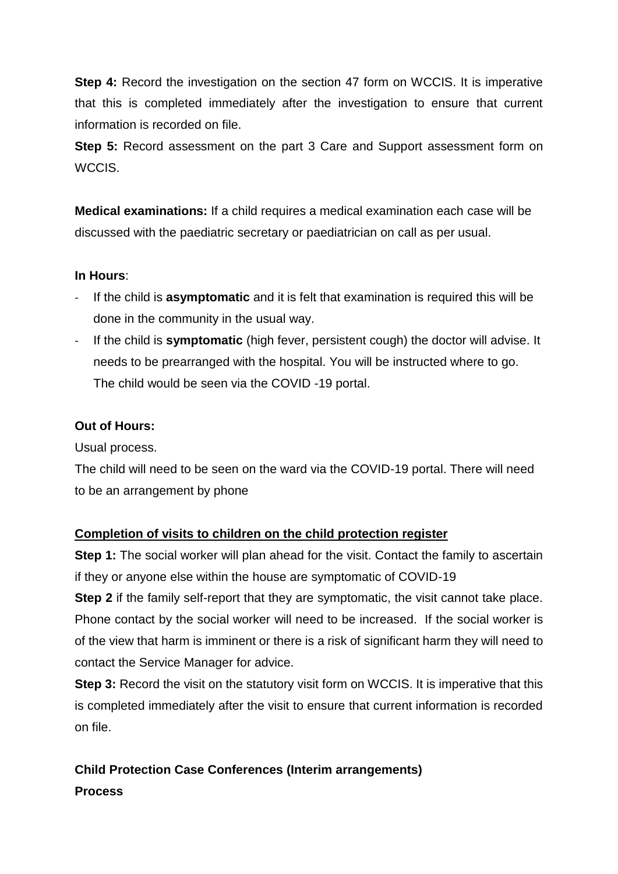**Step 4:** Record the investigation on the section 47 form on WCCIS. It is imperative that this is completed immediately after the investigation to ensure that current information is recorded on file.

**Step 5:** Record assessment on the part 3 Care and Support assessment form on WCCIS.

**Medical examinations:** If a child requires a medical examination each case will be discussed with the paediatric secretary or paediatrician on call as per usual.

#### **In Hours**:

- If the child is **asymptomatic** and it is felt that examination is required this will be done in the community in the usual way.
- If the child is **symptomatic** (high fever, persistent cough) the doctor will advise. It needs to be prearranged with the hospital. You will be instructed where to go. The child would be seen via the COVID -19 portal.

## **Out of Hours:**

Usual process.

The child will need to be seen on the ward via the COVID-19 portal. There will need to be an arrangement by phone

## **Completion of visits to children on the child protection register**

**Step 1:** The social worker will plan ahead for the visit. Contact the family to ascertain if they or anyone else within the house are symptomatic of COVID-19

**Step 2** if the family self-report that they are symptomatic, the visit cannot take place. Phone contact by the social worker will need to be increased. If the social worker is of the view that harm is imminent or there is a risk of significant harm they will need to contact the Service Manager for advice.

**Step 3:** Record the visit on the statutory visit form on WCCIS. It is imperative that this is completed immediately after the visit to ensure that current information is recorded on file.

# **Child Protection Case Conferences (Interim arrangements) Process**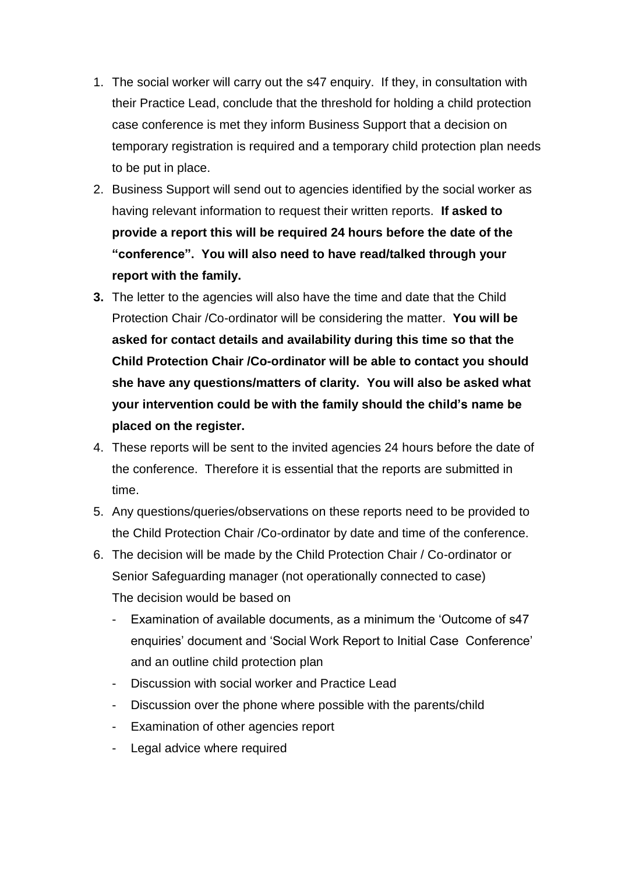- 1. The social worker will carry out the s47 enquiry. If they, in consultation with their Practice Lead, conclude that the threshold for holding a child protection case conference is met they inform Business Support that a decision on temporary registration is required and a temporary child protection plan needs to be put in place.
- 2. Business Support will send out to agencies identified by the social worker as having relevant information to request their written reports. **If asked to provide a report this will be required 24 hours before the date of the "conference". You will also need to have read/talked through your report with the family.**
- **3.** The letter to the agencies will also have the time and date that the Child Protection Chair /Co-ordinator will be considering the matter. **You will be asked for contact details and availability during this time so that the Child Protection Chair /Co-ordinator will be able to contact you should she have any questions/matters of clarity. You will also be asked what your intervention could be with the family should the child's name be placed on the register.**
- 4. These reports will be sent to the invited agencies 24 hours before the date of the conference. Therefore it is essential that the reports are submitted in time.
- 5. Any questions/queries/observations on these reports need to be provided to the Child Protection Chair /Co-ordinator by date and time of the conference.
- 6. The decision will be made by the Child Protection Chair / Co-ordinator or Senior Safeguarding manager (not operationally connected to case) The decision would be based on
	- Examination of available documents, as a minimum the 'Outcome of s47 enquiries' document and 'Social Work Report to Initial Case Conference' and an outline child protection plan
	- Discussion with social worker and Practice Lead
	- Discussion over the phone where possible with the parents/child
	- Examination of other agencies report
	- Legal advice where required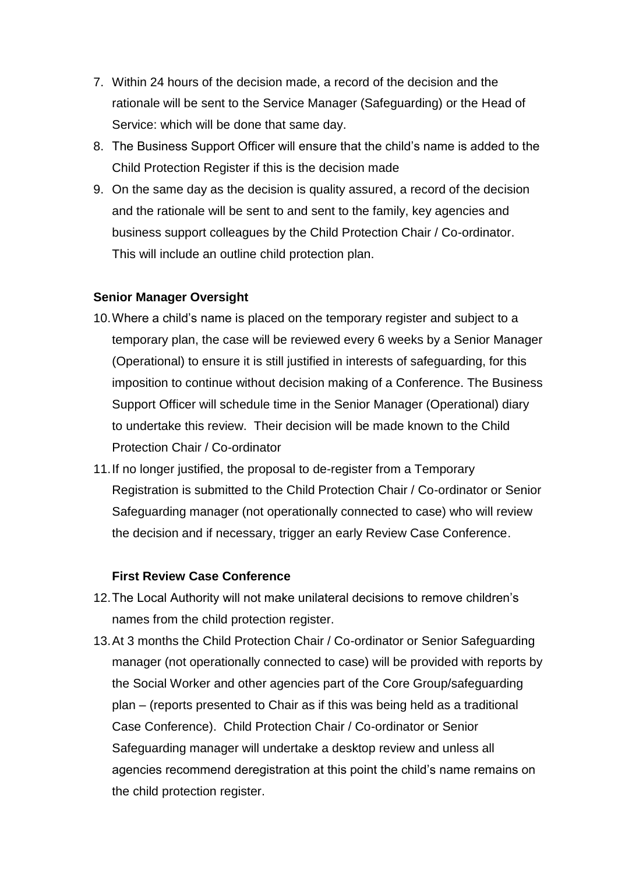- 7. Within 24 hours of the decision made, a record of the decision and the rationale will be sent to the Service Manager (Safeguarding) or the Head of Service: which will be done that same day.
- 8. The Business Support Officer will ensure that the child's name is added to the Child Protection Register if this is the decision made
- 9. On the same day as the decision is quality assured, a record of the decision and the rationale will be sent to and sent to the family, key agencies and business support colleagues by the Child Protection Chair / Co-ordinator. This will include an outline child protection plan.

#### **Senior Manager Oversight**

- 10.Where a child's name is placed on the temporary register and subject to a temporary plan, the case will be reviewed every 6 weeks by a Senior Manager (Operational) to ensure it is still justified in interests of safeguarding, for this imposition to continue without decision making of a Conference. The Business Support Officer will schedule time in the Senior Manager (Operational) diary to undertake this review. Their decision will be made known to the Child Protection Chair / Co-ordinator
- 11.If no longer justified, the proposal to de-register from a Temporary Registration is submitted to the Child Protection Chair / Co-ordinator or Senior Safeguarding manager (not operationally connected to case) who will review the decision and if necessary, trigger an early Review Case Conference.

#### **First Review Case Conference**

- 12.The Local Authority will not make unilateral decisions to remove children's names from the child protection register.
- 13.At 3 months the Child Protection Chair / Co-ordinator or Senior Safeguarding manager (not operationally connected to case) will be provided with reports by the Social Worker and other agencies part of the Core Group/safeguarding plan – (reports presented to Chair as if this was being held as a traditional Case Conference). Child Protection Chair / Co-ordinator or Senior Safeguarding manager will undertake a desktop review and unless all agencies recommend deregistration at this point the child's name remains on the child protection register.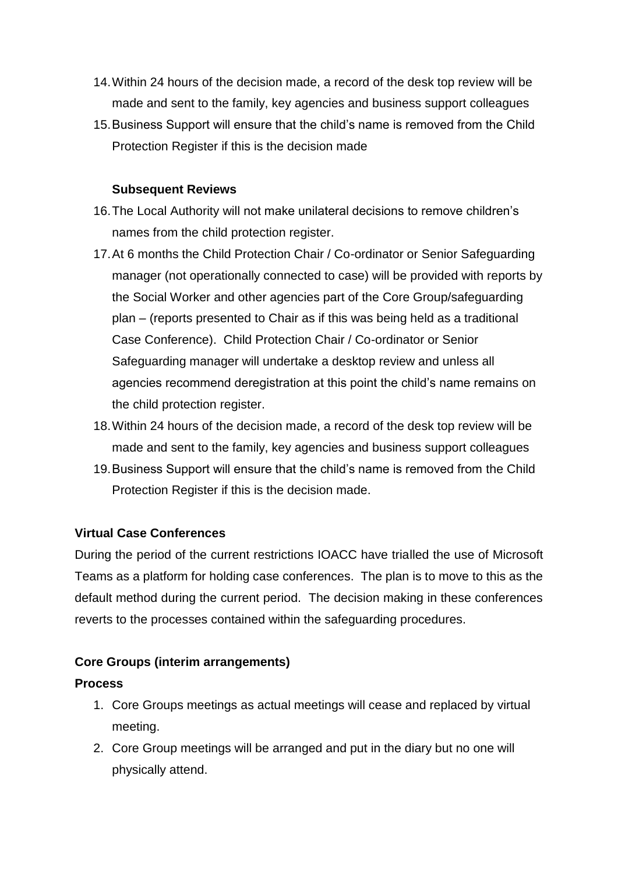- 14.Within 24 hours of the decision made, a record of the desk top review will be made and sent to the family, key agencies and business support colleagues
- 15.Business Support will ensure that the child's name is removed from the Child Protection Register if this is the decision made

#### **Subsequent Reviews**

- 16.The Local Authority will not make unilateral decisions to remove children's names from the child protection register.
- 17.At 6 months the Child Protection Chair / Co-ordinator or Senior Safeguarding manager (not operationally connected to case) will be provided with reports by the Social Worker and other agencies part of the Core Group/safeguarding plan – (reports presented to Chair as if this was being held as a traditional Case Conference). Child Protection Chair / Co-ordinator or Senior Safeguarding manager will undertake a desktop review and unless all agencies recommend deregistration at this point the child's name remains on the child protection register.
- 18.Within 24 hours of the decision made, a record of the desk top review will be made and sent to the family, key agencies and business support colleagues
- 19.Business Support will ensure that the child's name is removed from the Child Protection Register if this is the decision made.

#### **Virtual Case Conferences**

During the period of the current restrictions IOACC have trialled the use of Microsoft Teams as a platform for holding case conferences. The plan is to move to this as the default method during the current period. The decision making in these conferences reverts to the processes contained within the safeguarding procedures.

## **Core Groups (interim arrangements)**

#### **Process**

- 1. Core Groups meetings as actual meetings will cease and replaced by virtual meeting.
- 2. Core Group meetings will be arranged and put in the diary but no one will physically attend.